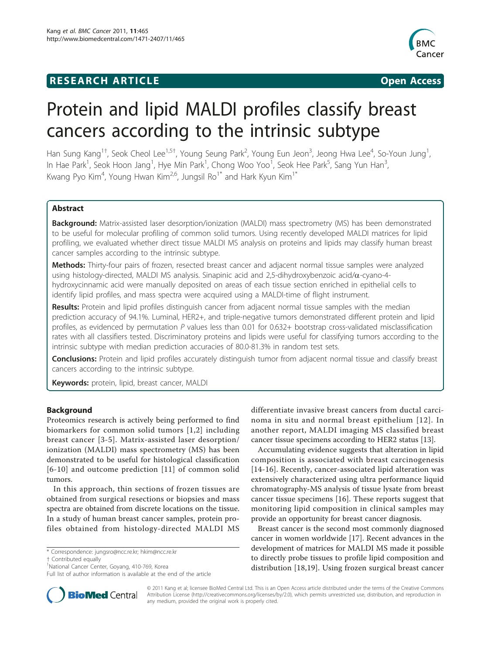# **RESEARCH ARTICLE Example 2018 Open Access**



# Protein and lipid MALDI profiles classify breast cancers according to the intrinsic subtype

Han Sung Kang<sup>1†</sup>, Seok Cheol Lee<sup>1,5†</sup>, Young Seung Park<sup>2</sup>, Young Eun Jeon<sup>3</sup>, Jeong Hwa Lee<sup>4</sup>, So-Youn Jung<sup>1</sup> , In Hae Park<sup>1</sup>, Seok Hoon Jang<sup>1</sup>, Hye Min Park<sup>1</sup>, Chong Woo Yoo<sup>1</sup>, Seok Hee Park<sup>5</sup>, Sang Yun Han<sup>3</sup> , Kwang Pyo Kim<sup>4</sup>, Young Hwan Kim<sup>2,6</sup>, Jungsil Ro<sup>1\*</sup> and Hark Kyun Kim<sup>1\*</sup>

# Abstract

Background: Matrix-assisted laser desorption/ionization (MALDI) mass spectrometry (MS) has been demonstrated to be useful for molecular profiling of common solid tumors. Using recently developed MALDI matrices for lipid profiling, we evaluated whether direct tissue MALDI MS analysis on proteins and lipids may classify human breast cancer samples according to the intrinsic subtype.

Methods: Thirty-four pairs of frozen, resected breast cancer and adjacent normal tissue samples were analyzed using histology-directed, MALDI MS analysis. Sinapinic acid and 2,5-dihydroxybenzoic acid/a-cyano-4 hydroxycinnamic acid were manually deposited on areas of each tissue section enriched in epithelial cells to identify lipid profiles, and mass spectra were acquired using a MALDI-time of flight instrument.

Results: Protein and lipid profiles distinguish cancer from adjacent normal tissue samples with the median prediction accuracy of 94.1%. Luminal, HER2+, and triple-negative tumors demonstrated different protein and lipid profiles, as evidenced by permutation  $P$  values less than 0.01 for 0.632+ bootstrap cross-validated misclassification rates with all classifiers tested. Discriminatory proteins and lipids were useful for classifying tumors according to the intrinsic subtype with median prediction accuracies of 80.0-81.3% in random test sets.

Conclusions: Protein and lipid profiles accurately distinguish tumor from adjacent normal tissue and classify breast cancers according to the intrinsic subtype.

Keywords: protein, lipid, breast cancer, MALDI

# Background

Proteomics research is actively being performed to find biomarkers for common solid tumors [[1](#page-7-0),[2\]](#page-7-0) including breast cancer [[3](#page-7-0)-[5](#page-7-0)]. Matrix-assisted laser desorption/ ionization (MALDI) mass spectrometry (MS) has been demonstrated to be useful for histological classification [[6](#page-7-0)-[10\]](#page-7-0) and outcome prediction [[11](#page-7-0)] of common solid tumors.

In this approach, thin sections of frozen tissues are obtained from surgical resections or biopsies and mass spectra are obtained from discrete locations on the tissue. In a study of human breast cancer samples, protein profiles obtained from histology-directed MALDI MS

† Contributed equally <sup>1</sup>

differentiate invasive breast cancers from ductal carcinoma in situ and normal breast epithelium [[12\]](#page-7-0). In another report, MALDI imaging MS classified breast cancer tissue specimens according to HER2 status [[13](#page-7-0)].

Accumulating evidence suggests that alteration in lipid composition is associated with breast carcinogenesis [[14](#page-7-0)-[16\]](#page-7-0). Recently, cancer-associated lipid alteration was extensively characterized using ultra performance liquid chromatography-MS analysis of tissue lysate from breast cancer tissue specimens [\[16](#page-7-0)]. These reports suggest that monitoring lipid composition in clinical samples may provide an opportunity for breast cancer diagnosis.

Breast cancer is the second most commonly diagnosed cancer in women worldwide [[17](#page-7-0)]. Recent advances in the development of matrices for MALDI MS made it possible to directly probe tissues to profile lipid composition and distribution [\[18](#page-7-0),[19\]](#page-7-0). Using frozen surgical breast cancer



© 2011 Kang et al; licensee BioMed Central Ltd. This is an Open Access article distributed under the terms of the Creative Commons Attribution License [\(http://creativecommons.org/licenses/by/2.0](http://creativecommons.org/licenses/by/2.0)), which permits unrestricted use, distribution, and reproduction in any medium, provided the original work is properly cited.

<sup>\*</sup> Correspondence: [jungsro@ncc.re.kr;](mailto:jungsro@ncc.re.kr) [hkim@ncc.re.kr](mailto:hkim@ncc.re.kr)

<sup>&</sup>lt;sup>1</sup>National Cancer Center, Goyang, 410-769, Korea

Full list of author information is available at the end of the article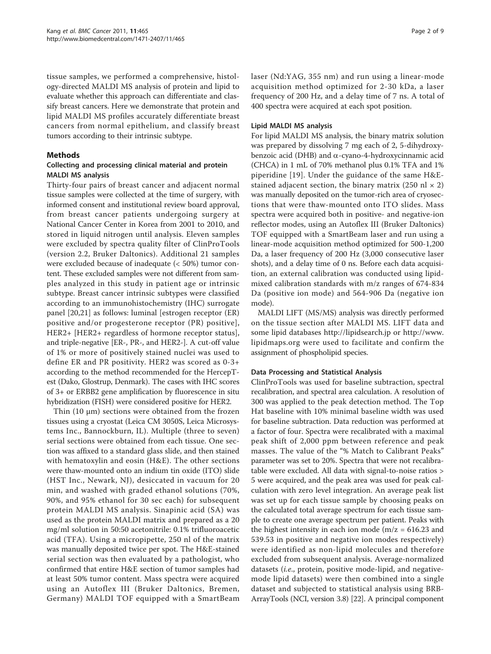tissue samples, we performed a comprehensive, histology-directed MALDI MS analysis of protein and lipid to evaluate whether this approach can differentiate and classify breast cancers. Here we demonstrate that protein and lipid MALDI MS profiles accurately differentiate breast cancers from normal epithelium, and classify breast tumors according to their intrinsic subtype.

# Methods

# Collecting and processing clinical material and protein MALDI MS analysis

Thirty-four pairs of breast cancer and adjacent normal tissue samples were collected at the time of surgery, with informed consent and institutional review board approval, from breast cancer patients undergoing surgery at National Cancer Center in Korea from 2001 to 2010, and stored in liquid nitrogen until analysis. Eleven samples were excluded by spectra quality filter of ClinProTools (version 2.2, Bruker Daltonics). Additional 21 samples were excluded because of inadequate (< 50%) tumor content. These excluded samples were not different from samples analyzed in this study in patient age or intrinsic subtype. Breast cancer intrinsic subtypes were classified according to an immunohistochemistry (IHC) surrogate panel [\[20,21](#page-7-0)] as follows: luminal [estrogen receptor (ER) positive and/or progesterone receptor (PR) positive], HER2+ [HER2+ regardless of hormone receptor status], and triple-negative [ER-, PR-, and HER2-]. A cut-off value of 1% or more of positively stained nuclei was used to define ER and PR positivity. HER2 was scored as 0-3+ according to the method recommended for the HercepTest (Dako, Glostrup, Denmark). The cases with IHC scores of 3+ or ERBB2 gene amplification by fluorescence in situ hybridization (FISH) were considered positive for HER2.

Thin (10 μm) sections were obtained from the frozen tissues using a cryostat (Leica CM 3050S, Leica Microsystems Inc., Bannockburn, IL). Multiple (three to seven) serial sections were obtained from each tissue. One section was affixed to a standard glass slide, and then stained with hematoxylin and eosin (H&E). The other sections were thaw-mounted onto an indium tin oxide (ITO) slide (HST Inc., Newark, NJ), desiccated in vacuum for 20 min, and washed with graded ethanol solutions (70%, 90%, and 95% ethanol for 30 sec each) for subsequent protein MALDI MS analysis. Sinapinic acid (SA) was used as the protein MALDI matrix and prepared as a 20 mg/ml solution in 50:50 acetonitrile: 0.1% trifluoroacetic acid (TFA). Using a micropipette, 250 nl of the matrix was manually deposited twice per spot. The H&E-stained serial section was then evaluated by a pathologist, who confirmed that entire H&E section of tumor samples had at least 50% tumor content. Mass spectra were acquired using an Autoflex III (Bruker Daltonics, Bremen, Germany) MALDI TOF equipped with a SmartBeam laser (Nd:YAG, 355 nm) and run using a linear-mode acquisition method optimized for 2-30 kDa, a laser frequency of 200 Hz, and a delay time of 7 ns. A total of 400 spectra were acquired at each spot position.

# Lipid MALDI MS analysis

For lipid MALDI MS analysis, the binary matrix solution was prepared by dissolving 7 mg each of 2, 5-dihydroxybenzoic acid (DHB) and  $\alpha$ -cyano-4-hydroxycinnamic acid (CHCA) in 1 mL of 70% methanol plus 0.1% TFA and 1% piperidine [[19\]](#page-7-0). Under the guidance of the same H&Estained adjacent section, the binary matrix (250 nl  $\times$  2) was manually deposited on the tumor-rich area of cryosections that were thaw-mounted onto ITO slides. Mass spectra were acquired both in positive- and negative-ion reflector modes, using an Autoflex III (Bruker Daltonics) TOF equipped with a SmartBeam laser and run using a linear-mode acquisition method optimized for 500-1,200 Da, a laser frequency of 200 Hz (3,000 consecutive laser shots), and a delay time of 0 ns. Before each data acquisition, an external calibration was conducted using lipidmixed calibration standards with m/z ranges of 674-834 Da (positive ion mode) and 564-906 Da (negative ion mode).

MALDI LIFT (MS/MS) analysis was directly performed on the tissue section after MALDI MS. LIFT data and some lipid databases<http://lipidsearch.jp> or [http://www.](http://www.lipidmaps.org) [lipidmaps.org](http://www.lipidmaps.org) were used to facilitate and confirm the assignment of phospholipid species.

# Data Processing and Statistical Analysis

ClinProTools was used for baseline subtraction, spectral recalibration, and spectral area calculation. A resolution of 300 was applied to the peak detection method. The Top Hat baseline with 10% minimal baseline width was used for baseline subtraction. Data reduction was performed at a factor of four. Spectra were recalibrated with a maximal peak shift of 2,000 ppm between reference and peak masses. The value of the "% Match to Calibrant Peaks" parameter was set to 20%. Spectra that were not recalibratable were excluded. All data with signal-to-noise ratios > 5 were acquired, and the peak area was used for peak calculation with zero level integration. An average peak list was set up for each tissue sample by choosing peaks on the calculated total average spectrum for each tissue sample to create one average spectrum per patient. Peaks with the highest intensity in each ion mode ( $m/z = 616.23$  and 539.53 in positive and negative ion modes respectively) were identified as non-lipid molecules and therefore excluded from subsequent analysis. Average-normalized datasets (i.e., protein, positive mode-lipid, and negativemode lipid datasets) were then combined into a single dataset and subjected to statistical analysis using BRB-ArrayTools (NCI, version 3.8) [[22](#page-7-0)]. A principal component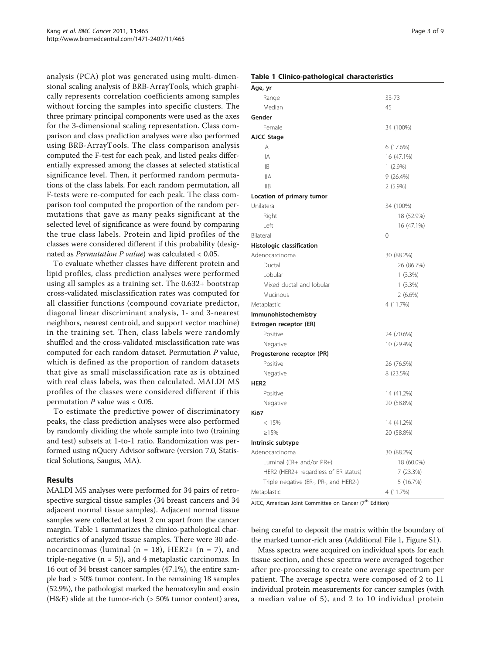analysis (PCA) plot was generated using multi-dimensional scaling analysis of BRB-ArrayTools, which graphically represents correlation coefficients among samples without forcing the samples into specific clusters. The three primary principal components were used as the axes for the 3-dimensional scaling representation. Class comparison and class prediction analyses were also performed using BRB-ArrayTools. The class comparison analysis computed the F-test for each peak, and listed peaks differentially expressed among the classes at selected statistical significance level. Then, it performed random permutations of the class labels. For each random permutation, all F-tests were re-computed for each peak. The class comparison tool computed the proportion of the random permutations that gave as many peaks significant at the selected level of significance as were found by comparing the true class labels. Protein and lipid profiles of the classes were considered different if this probability (designated as Permutation P value) was calculated < 0.05.

To evaluate whether classes have different protein and lipid profiles, class prediction analyses were performed using all samples as a training set. The 0.632+ bootstrap cross-validated misclassification rates was computed for all classifier functions (compound covariate predictor, diagonal linear discriminant analysis, 1- and 3-nearest neighbors, nearest centroid, and support vector machine) in the training set. Then, class labels were randomly shuffled and the cross-validated misclassification rate was computed for each random dataset. Permutation P value, which is defined as the proportion of random datasets that give as small misclassification rate as is obtained with real class labels, was then calculated. MALDI MS profiles of the classes were considered different if this permutation  $P$  value was  $< 0.05$ .

To estimate the predictive power of discriminatory peaks, the class prediction analyses were also performed by randomly dividing the whole sample into two (training and test) subsets at 1-to-1 ratio. Randomization was performed using nQuery Advisor software (version 7.0, Statistical Solutions, Saugus, MA).

# Results

MALDI MS analyses were performed for 34 pairs of retrospective surgical tissue samples (34 breast cancers and 34 adjacent normal tissue samples). Adjacent normal tissue samples were collected at least 2 cm apart from the cancer margin. Table 1 summarizes the clinico-pathological characteristics of analyzed tissue samples. There were 30 adenocarcinomas (luminal ( $n = 18$ ), HER2+ ( $n = 7$ ), and triple-negative  $(n = 5)$ , and 4 metaplastic carcinomas. In 16 out of 34 breast cancer samples (47.1%), the entire sample had > 50% tumor content. In the remaining 18 samples (52.9%), the pathologist marked the hematoxylin and eosin (H&E) slide at the tumor-rich (> 50% tumor content) area,

#### Table 1 Clinico-pathological characteristics

| Age, yr                               |            |
|---------------------------------------|------------|
| Range                                 | 33-73      |
| Median                                | 45         |
| Gender                                |            |
| Female                                | 34 (100%)  |
| AJCC Stage                            |            |
| IA                                    | 6 (17.6%)  |
| <b>IIA</b>                            | 16 (47.1%) |
| IIB                                   | $1(2.9\%)$ |
| <b>IIIA</b>                           | 9(26.4%)   |
| IIIB                                  | $2(5.9\%)$ |
| Location of primary tumor             |            |
| Unilateral                            | 34 (100%)  |
| Right                                 | 18 (52.9%) |
| Left                                  | 16 (47.1%) |
| Bilateral                             | $\Omega$   |
| Histologic classification             |            |
| Adenocarcinoma                        | 30 (88.2%) |
| Ductal                                | 26 (86.7%) |
| Lobular                               | $1(3.3\%)$ |
| Mixed ductal and lobular              | $1(3.3\%)$ |
| Mucinous                              | $2(6.6\%)$ |
| Metaplastic                           | 4 (11.7%)  |
| Immunohistochemistry                  |            |
| Estrogen receptor (ER)                |            |
| Positive                              | 24 (70.6%) |
| Negative                              | 10 (29.4%) |
| Progesterone receptor (PR)            |            |
| Positive                              | 26 (76.5%) |
| Negative                              | 8 (23.5%)  |
| HER <sub>2</sub>                      |            |
| Positive                              | 14 (41.2%) |
| Negative                              | 20 (58.8%) |
| <b>Ki67</b>                           |            |
| < 15%                                 | 14 (41.2%) |
| $\ge 15\%$                            | 20 (58.8%) |
| Intrinsic subtype                     |            |
| Adenocarcinoma                        | 30 (88.2%) |
| Luminal (ER+ and/or PR+)              | 18 (60.0%) |
| HER2 (HER2+ regardless of ER status)  | 7 (23.3%)  |
| Triple negative (ER-, PR-, and HER2-) | 5 (16.7%)  |
| Metaplastic                           | 4 (11.7%)  |

AJCC, American Joint Committee on Cancer (7<sup>th</sup> Edition)

being careful to deposit the matrix within the boundary of the marked tumor-rich area (Additional File [1,](#page-6-0) Figure S1).

Mass spectra were acquired on individual spots for each tissue section, and these spectra were averaged together after pre-processing to create one average spectrum per patient. The average spectra were composed of 2 to 11 individual protein measurements for cancer samples (with a median value of 5), and 2 to 10 individual protein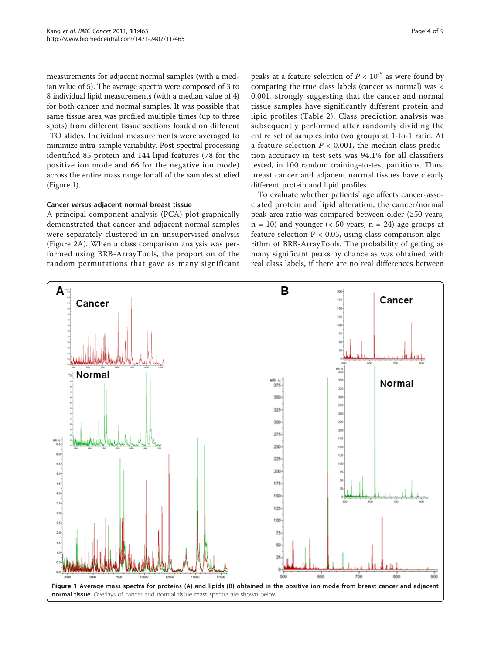measurements for adjacent normal samples (with a median value of 5). The average spectra were composed of 3 to 8 individual lipid measurements (with a median value of 4) for both cancer and normal samples. It was possible that same tissue area was profiled multiple times (up to three spots) from different tissue sections loaded on different ITO slides. Individual measurements were averaged to minimize intra-sample variability. Post-spectral processing identified 85 protein and 144 lipid features (78 for the positive ion mode and 66 for the negative ion mode) across the entire mass range for all of the samples studied (Figure 1).

#### Cancer versus adjacent normal breast tissue

A principal component analysis (PCA) plot graphically demonstrated that cancer and adjacent normal samples were separately clustered in an unsupervised analysis (Figure [2A](#page-4-0)). When a class comparison analysis was performed using BRB-ArrayTools, the proportion of the random permutations that gave as many significant

peaks at a feature selection of  $P < 10^{-5}$  as were found by comparing the true class labels (cancer vs normal) was < 0.001, strongly suggesting that the cancer and normal tissue samples have significantly different protein and lipid profiles (Table [2](#page-5-0)). Class prediction analysis was subsequently performed after randomly dividing the entire set of samples into two groups at 1-to-1 ratio. At a feature selection  $P < 0.001$ , the median class prediction accuracy in test sets was 94.1% for all classifiers tested, in 100 random training-to-test partitions. Thus, breast cancer and adjacent normal tissues have clearly different protein and lipid profiles.

To evaluate whether patients' age affects cancer-associated protein and lipid alteration, the cancer/normal peak area ratio was compared between older (≥50 years,  $n = 10$ ) and younger (< 50 years,  $n = 24$ ) age groups at feature selection  $P < 0.05$ , using class comparison algorithm of BRB-ArrayTools. The probability of getting as many significant peaks by chance as was obtained with real class labels, if there are no real differences between

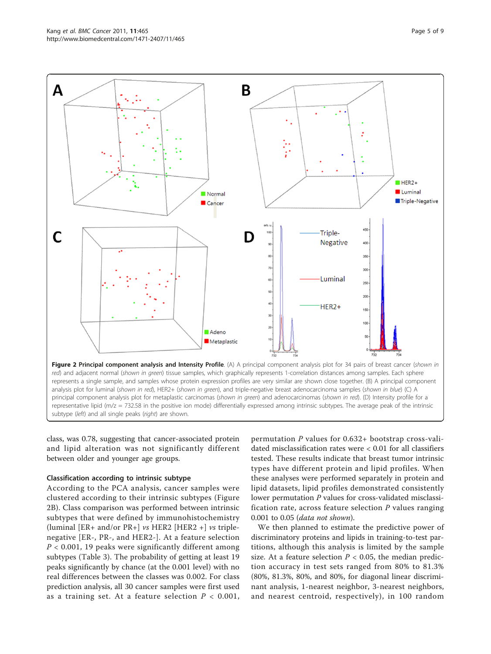<span id="page-4-0"></span>

subtype (left) and all single peaks (right) are shown.

class, was 0.78, suggesting that cancer-associated protein and lipid alteration was not significantly different between older and younger age groups.

#### Classification according to intrinsic subtype

According to the PCA analysis, cancer samples were clustered according to their intrinsic subtypes (Figure 2B). Class comparison was performed between intrinsic subtypes that were defined by immunohistochemistry (luminal [ER+ and/or PR+]  $vs$  HER2 [HER2 +]  $vs$  triplenegative [ER-, PR-, and HER2-]. At a feature selection  $P < 0.001$ , 19 peaks were significantly different among subtypes (Table [3](#page-6-0)). The probability of getting at least 19 peaks significantly by chance (at the 0.001 level) with no real differences between the classes was 0.002. For class prediction analysis, all 30 cancer samples were first used as a training set. At a feature selection  $P < 0.001$ ,

permutation P values for 0.632+ bootstrap cross-validated misclassification rates were < 0.01 for all classifiers tested. These results indicate that breast tumor intrinsic types have different protein and lipid profiles. When these analyses were performed separately in protein and lipid datasets, lipid profiles demonstrated consistently lower permutation P values for cross-validated misclassification rate, across feature selection  $P$  values ranging 0.001 to 0.05 (data not shown).

We then planned to estimate the predictive power of discriminatory proteins and lipids in training-to-test partitions, although this analysis is limited by the sample size. At a feature selection  $P < 0.05$ , the median prediction accuracy in test sets ranged from 80% to 81.3% (80%, 81.3%, 80%, and 80%, for diagonal linear discriminant analysis, 1-nearest neighbor, 3-nearest neighbors, and nearest centroid, respectively), in 100 random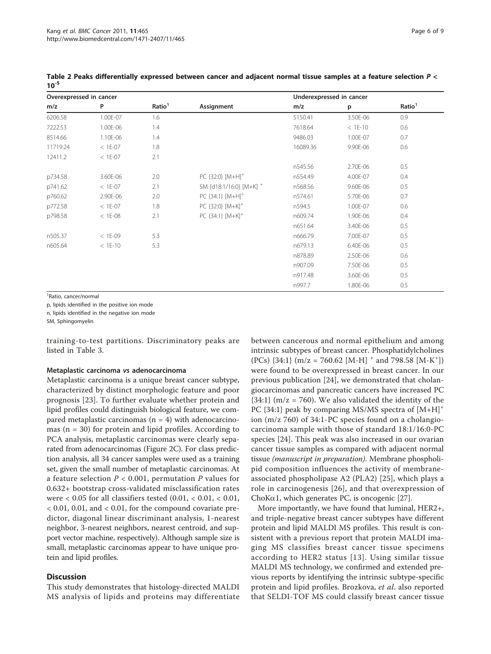| Overexpressed in cancer |           |                    | Underexpressed in cancer         |          |           |                    |
|-------------------------|-----------|--------------------|----------------------------------|----------|-----------|--------------------|
| m/z                     | P         | Ratio <sup>1</sup> | Assignment                       | m/z      | p         | Ratio <sup>1</sup> |
| 6206.58                 | 1.00E-07  | 1.6                |                                  | 5150.41  | 3.50E-06  | 0.9                |
| 7222.53                 | 1.00E-06  | 1.4                |                                  | 7618.64  | $< 1E-10$ | 0.6                |
| 8514.66                 | 1.10E-06  | 1.4                |                                  | 9486.03  | 1.00E-07  | 0.7                |
| 11719.24                | $< 1E-07$ | 1.8                |                                  | 16089.36 | 9.90E-06  | 0.6                |
| 12411.2                 | $< 1E-07$ | 2.1                |                                  |          |           |                    |
|                         |           |                    |                                  | n545.56  | 2.70E-06  | 0.5                |
| p734.58                 | 3.60E-06  | 2.0                | PC {32:0} [M+H] <sup>+</sup>     | n554.49  | 4.00E-07  | 0.4                |
| p741.62                 | $< 1E-07$ | 2.1                | SM {d18:1/16:0} [M+K] +          | n568.56  | 9.60E-06  | 0.5                |
| p760.62                 | 2.90E-06  | 2.0                | PC {34:1} [M+H] <sup>+</sup>     | n574.61  | 5.70E-06  | 0.7                |
| p772.58                 | $< 1E-07$ | 1.8                | PC {32:0} [M+K] <sup>+</sup>     | n594.5   | 1.00E-07  | 0.6                |
| p798.58                 | $< 1E-08$ | 2.1                | PC ${34:1}$ $[M+K]$ <sup>+</sup> | n609.74  | 1.90E-06  | 0.4                |
|                         |           |                    |                                  | n651.64  | 3.40E-06  | 0.5                |
| n505.37                 | $< 1E-09$ | 5.3                |                                  | n666.79  | 7.00E-07  | 0.5                |
| n605.64                 | $< 1E-10$ | 5.3                |                                  | n679.13  | 6.40E-06  | 0.5                |
|                         |           |                    |                                  | n878.89  | 2.50E-06  | 0.6                |
|                         |           |                    |                                  | n907.09  | 7.50E-06  | $0.5\,$            |
|                         |           |                    |                                  | n917.48  | 3.60E-06  | 0.5                |
|                         |           |                    |                                  | n997.7   | 1.80E-06  | 0.5                |

<span id="page-5-0"></span>Table 2 Peaks differentially expressed between cancer and adjacent normal tissue samples at a feature selection P <  $10^{-5}$ 

1 Ratio, cancer/normal

p, lipids identified in the positive ion mode

n, lipids identified in the negative ion mode

SM, Sphingomyelin

training-to-test partitions. Discriminatory peaks are listed in Table [3.](#page-6-0)

#### Metaplastic carcinoma vs adenocarcinoma

Metaplastic carcinoma is a unique breast cancer subtype, characterized by distinct morphologic feature and poor prognosis [\[23](#page-7-0)]. To further evaluate whether protein and lipid profiles could distinguish biological feature, we compared metaplastic carcinomas  $(n = 4)$  with adenocarcinomas  $(n = 30)$  for protein and lipid profiles. According to PCA analysis, metaplastic carcinomas were clearly separated from adenocarcinomas (Figure [2C\)](#page-4-0). For class prediction analysis, all 34 cancer samples were used as a training set, given the small number of metaplastic carcinomas. At a feature selection  $P < 0.001$ , permutation P values for 0.632+ bootstrap cross-validated misclassification rates were  $< 0.05$  for all classifiers tested  $(0.01, < 0.01, < 0.01,$ < 0.01, 0.01, and < 0.01, for the compound covariate predictor, diagonal linear discriminant analysis, 1-nearest neighbor, 3-nearest neighbors, nearest centroid, and support vector machine, respectively). Although sample size is small, metaplastic carcinomas appear to have unique protein and lipid profiles.

#### **Discussion**

This study demonstrates that histology-directed MALDI MS analysis of lipids and proteins may differentiate between cancerous and normal epithelium and among intrinsic subtypes of breast cancer. Phosphatidylcholines (PCs)  $\{34:1\}$  (m/z = 760.62 [M-H] <sup>+</sup> and 798.58 [M-K<sup>+</sup>]) were found to be overexpressed in breast cancer. In our previous publication [[24\]](#page-7-0), we demonstrated that cholangiocarcinomas and pancreatic cancers have increased PC  ${34:1}$  (m/z = 760). We also validated the identity of the PC  $\{34:1\}$  peak by comparing MS/MS spectra of  $[M+H]^+$ ion (m/z 760) of 34:1-PC species found on a cholangiocarcinoma sample with those of standard 18:1/16:0-PC species [[24\]](#page-7-0). This peak was also increased in our ovarian cancer tissue samples as compared with adjacent normal tissue (manuscript in preparation). Membrane phospholipid composition influences the activity of membraneassociated phospholipase A2 (PLA2) [[25\]](#page-7-0), which plays a role in carcinogenesis [[26](#page-7-0)], and that overexpression of ChoK $\alpha$ 1, which generates PC, is oncogenic [\[27\]](#page-7-0).

More importantly, we have found that luminal, HER2+, and triple-negative breast cancer subtypes have different protein and lipid MALDI MS profiles. This result is consistent with a previous report that protein MALDI imaging MS classifies breast cancer tissue specimens according to HER2 status [[13](#page-7-0)]. Using similar tissue MALDI MS technology, we confirmed and extended previous reports by identifying the intrinsic subtype-specific protein and lipid profiles. Brozkova, et al. also reported that SELDI-TOF MS could classify breast cancer tissue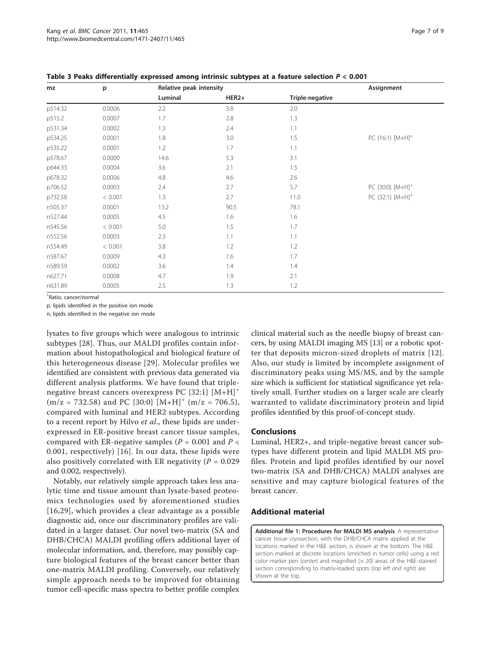| mz      | p       | Relative peak intensity |                   |                 | Assignment                   |
|---------|---------|-------------------------|-------------------|-----------------|------------------------------|
|         |         | Luminal                 | HER <sub>2+</sub> | Triple-negative |                              |
| p514.32 | 0.0006  | 2.2                     | 3.8               | 2.0             |                              |
| p515.2  | 0.0007  | 1.7                     | 2.8               | 1.3             |                              |
| p531.34 | 0.0002  | 1.3                     | 2.4               | 1.1             |                              |
| p534.25 | 0.0001  | 1.8                     | 3.0               | 1.5             | PC {16:1} [M+H] <sup>+</sup> |
| p535.22 | 0.0001  | 1.2                     | 1.7               | 1.1             |                              |
| p578.67 | 0.0000  | 14.6                    | 5.3               | 3.1             |                              |
| p644.33 | 0.0004  | 3.6                     | 2.1               | 1.5             |                              |
| p678.32 | 0.0006  | 4.8                     | 4.6               | 2.6             |                              |
| p706.52 | 0.0003  | 2.4                     | 2.7               | 5.7             | PC {30:0} [M+H] <sup>+</sup> |
| p732.58 | < 0.001 | 1.3                     | 2.7               | 11.0            | PC {32:1} [M+H] <sup>+</sup> |
| n505.37 | 0.0001  | 13.2                    | 90.5              | 78.1            |                              |
| n527.44 | 0.0005  | 4.5                     | 1.6               | 1.6             |                              |
| n545.56 | < 0.001 | 5.0                     | 1.5               | 1.7             |                              |
| n552.56 | 0.0003  | 2.3                     | 1.1               | 1.1             |                              |
| n554.49 | < 0.001 | 3.8                     | 1.2               | 1.2             |                              |
| n587.67 | 0.0009  | 4.3                     | 1.6               | 1.7             |                              |
| n589.59 | 0.0002  | 3.6                     | 1.4               | 1.4             |                              |
| n627.71 | 0.0008  | 4.7                     | 1.9               | 2.1             |                              |
| n631.89 | 0.0005  | 2.5                     | 1.3               | 1.2             |                              |

<span id="page-6-0"></span>Table 3 Peaks differentially expressed among intrinsic subtypes at a feature selection P < 0.001

1 Ratio, cancer/normal

p, lipids identified in the positive ion mode

n, lipids identified in the negative ion mode

lysates to five groups which were analogous to intrinsic subtypes [\[28](#page-7-0)]. Thus, our MALDI profiles contain information about histopathological and biological feature of this heterogeneous disease [[29](#page-7-0)]. Molecular profiles we identified are consistent with previous data generated via different analysis platforms. We have found that triplenegative breast cancers overexpress PC  $\{32:1\}$   $[M+H]^+$  $(m/z = 732.58)$  and PC  $\{30:0\}$   $[M+H]^+$   $(m/z = 706.5)$ , compared with luminal and HER2 subtypes. According to a recent report by Hilvo *et al.*, these lipids are underexpressed in ER-positive breast cancer tissue samples, compared with ER-negative samples ( $P = 0.001$  and  $P <$ 0.001, respectively) [[16\]](#page-7-0). In our data, these lipids were also positively correlated with ER negativity ( $P = 0.029$ ) and 0.002, respectively).

Notably, our relatively simple approach takes less analytic time and tissue amount than lysate-based proteomics technologies used by aforementioned studies [[16](#page-7-0),[29](#page-7-0)], which provides a clear advantage as a possible diagnostic aid, once our discriminatory profiles are validated in a larger dataset. Our novel two-matrix (SA and DHB/CHCA) MALDI profiling offers additional layer of molecular information, and, therefore, may possibly capture biological features of the breast cancer better than one-matrix MALDI profiling. Conversely, our relatively simple approach needs to be improved for obtaining tumor cell-specific mass spectra to better profile complex

clinical material such as the needle biopsy of breast cancers, by using MALDI imaging MS [[13\]](#page-7-0) or a robotic spotter that deposits micron-sized droplets of matrix [[12](#page-7-0)]. Also, our study is limited by incomplete assignment of discriminatory peaks using MS/MS, and by the sample size which is sufficient for statistical significance yet relatively small. Further studies on a larger scale are clearly warranted to validate discriminatory protein and lipid profiles identified by this proof-of-concept study.

#### **Conclusions**

Luminal, HER2+, and triple-negative breast cancer subtypes have different protein and lipid MALDI MS profiles. Protein and lipid profiles identified by our novel two-matrix (SA and DHB/CHCA) MALDI analyses are sensitive and may capture biological features of the breast cancer.

# Additional material

[Additional file 1: P](http://www.biomedcentral.com/content/supplementary/1471-2407-11-465-S1.DOC)rocedures for MALDI MS analysis. A representative cancer tissue cryosection, with the DHB/CHCA matrix applied at the locations marked in the H&E section, is shown at the bottom. The H&E section marked at discrete locations (enriched in tumor cells) using a red color marker pen (center) and magnified  $(x 20)$  areas of the H&E-stained section corresponding to matrix-loaded spots (top left and right) are shown at the top.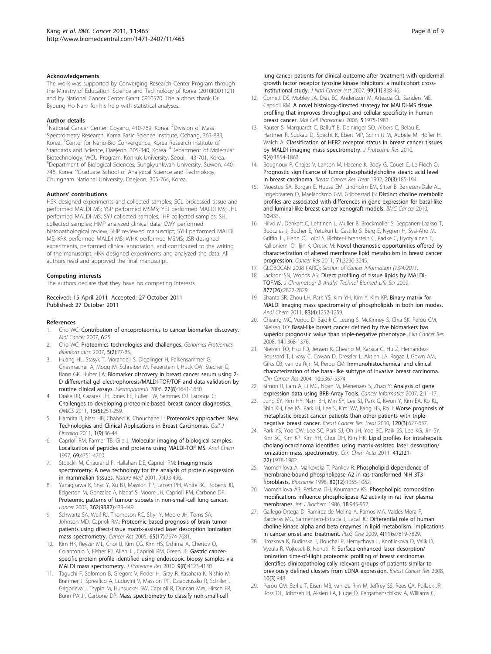#### <span id="page-7-0"></span>Acknowledgements

The work was supported by Converging Research Center Program through the Ministry of Education, Science and Technology of Korea (2010K001121) and by National Cancer Center Grant 0910570. The authors thank Dr. Byoung Ho Nam for his help with statistical analyses.

#### Author details

<sup>1</sup>National Cancer Center, Goyang, 410-769, Korea. <sup>2</sup>Division of Mass Spectrometry Research, Korea Basic Science Institute, Ochang, 363-883, Korea. <sup>3</sup> Center for Nano-Bio Convergence, Korea Research Institute of Standards and Science, Daejeon, 305-340, Korea. <sup>4</sup>Department of Molecular Biotechnology, WCU Program, Konkuk University, Seoul, 143-701, Korea. 5 Department of Biological Sciences, Sungkyunkwan University, Suwon, 440- 746, Korea. <sup>6</sup>Graduate School of Analytical Science and Technology, Chungnam National University, Daejeon, 305-764, Korea.

#### Authors' contributions

HSK designed experiments and collected samples; SCL processed tissue and performed MALDI MS; YSP performed MSMS; YEJ performed MALDI MS; JHL performed MALDI MS; SYJ collected samples; IHP collected samples; SHJ collected samples; HMP analyzed clinical data; CWY performed histopathological review; SHP reviewed manuscript; SYH performed MALDI MS; KPK performed MALDI MS; WHK performed MSMS; JSR designed experiments, performed clinical annotation, and contributed to the writing of the manuscript. HKK designed experiments and analyzed the data. All authors read and approved the final manuscript.

#### Competing interests

The authors declare that they have no competing interests.

#### Received: 15 April 2011 Accepted: 27 October 2011 Published: 27 October 2011

#### References

- Cho WC: [Contribution of oncoproteomics to cancer biomarker discovery.](http://www.ncbi.nlm.nih.gov/pubmed/17407558?dopt=Abstract) Mol Cancer 2007, 6:25.
- 2. Cho WC: [Proteomics technologies and challenges.](http://www.ncbi.nlm.nih.gov/pubmed/17893073?dopt=Abstract) Genomics Proteomics Bioinformatics 2007, 5(2):77-85.
- 3. Huang HL, Stasyk T, Morandell S, Dieplinger H, Falkensammer G, Griesmacher A, Mogg M, Schreiber M, Feuerstein I, Huck CW, Stecher G, Bonn GK, Huber LA: [Biomarker discovery in breast cancer serum using 2-](http://www.ncbi.nlm.nih.gov/pubmed/16550499?dopt=Abstract) [D differential gel electrophoresis/MALDI-TOF/TOF and data validation by](http://www.ncbi.nlm.nih.gov/pubmed/16550499?dopt=Abstract) [routine clinical assays.](http://www.ncbi.nlm.nih.gov/pubmed/16550499?dopt=Abstract) Electrophoresis 2006, 27(8):1641-1650.
- 4. Drake RR, Cazares LH, Jones EE, Fuller TW, Semmes OJ, Laronga C: [Challenges to developing proteomic-based breast cancer diagnostics.](http://www.ncbi.nlm.nih.gov/pubmed/21332380?dopt=Abstract) OMICS 2011, 15(5):251-259.
- Hamrita B, Nasr HB, Chahed K, Chouchane L: [Proteomics approaches: New](http://www.ncbi.nlm.nih.gov/pubmed/21177207?dopt=Abstract) [Technologies and Clinical Applications in Breast Carcinomas.](http://www.ncbi.nlm.nih.gov/pubmed/21177207?dopt=Abstract) Gulf J Oncolog 2011, 1(9):36-44.
- Caprioli RM, Farmer TB, Gile J: [Molecular imaging of biological samples:](http://www.ncbi.nlm.nih.gov/pubmed/9406525?dopt=Abstract) [Localization of peptides and proteins using MALDI-TOF MS.](http://www.ncbi.nlm.nih.gov/pubmed/9406525?dopt=Abstract) Anal Chem 1997, 69:4751-4760.
- 7. Stoeckli M, Chaurand P, Hallahan DE, Caprioli RM: [Imaging mass](http://www.ncbi.nlm.nih.gov/pubmed/11283679?dopt=Abstract) [spectrometry: A new technology for the analysis of protein expression](http://www.ncbi.nlm.nih.gov/pubmed/11283679?dopt=Abstract) [in mammalian tissues.](http://www.ncbi.nlm.nih.gov/pubmed/11283679?dopt=Abstract) Nature Med 2001, 7:493-496.
- 8. Yanagisawa K, Shyr Y, Xu BJ, Massion PP, Larsen PH, White BC, Roberts JR, Edgerton M, Gonzalez A, Nadaf S, Moore JH, Caprioli RM, Carbone DP: [Proteomic patterns of tumour subsets in non-small-cell lung cancer.](http://www.ncbi.nlm.nih.gov/pubmed/12927430?dopt=Abstract) Lancet 2003, 362(9382):433-449.
- 9. Schwartz SA, Weil RJ, Thompson RC, Shyr Y, Moore JH, Toms SA, Johnson MD, Caprioli RM: [Proteomic-based prognosis of brain tumor](http://www.ncbi.nlm.nih.gov/pubmed/16140934?dopt=Abstract) [patients using direct-tissue matrix-assisted laser desorption ionization](http://www.ncbi.nlm.nih.gov/pubmed/16140934?dopt=Abstract) [mass spectrometry.](http://www.ncbi.nlm.nih.gov/pubmed/16140934?dopt=Abstract) Cancer Res 2005, 65(17):7674-7681.
- 10. Kim HK, Reyzer ML, Choi IJ, Kim CG, Kim HS, Oshima A, Chertov O, Colantonio S, Fisher RJ, Allen JL, Caprioli RM, Green JE: [Gastric cancer](http://www.ncbi.nlm.nih.gov/pubmed/20557134?dopt=Abstract)[specific protein profile identified using endoscopic biopsy samples via](http://www.ncbi.nlm.nih.gov/pubmed/20557134?dopt=Abstract) [MALDI mass spectrometry.](http://www.ncbi.nlm.nih.gov/pubmed/20557134?dopt=Abstract) J Proteome Res 2010, 9(8):4123-4130.
- 11. Taguchi F, Solomon B, Gregorc V, Roder H, Gray R, Kasahara K, Nishio M, Brahmer J, Spreafico A, Ludovini V, Massion PP, Dziadziuszko R, Schiller J, Grigorieva J, Tsypin M, Hunsucker SW, Caprioli R, Duncan MW, Hirsch FR, Bunn PA Jr, Carbone DP: [Mass spectrometry to classify non-small-cell](http://www.ncbi.nlm.nih.gov/pubmed/17551144?dopt=Abstract)
- 12. Cornett DS, Mobley JA, Dias EC, Andersson M, Arteaga CL, Sanders ME, Caprioli RM: [A novel histology-directed strategy for MALDI-MS tissue](http://www.ncbi.nlm.nih.gov/pubmed/16849436?dopt=Abstract) [profiling that improves throughput and cellular specificity in human](http://www.ncbi.nlm.nih.gov/pubmed/16849436?dopt=Abstract) [breast cancer.](http://www.ncbi.nlm.nih.gov/pubmed/16849436?dopt=Abstract) Mol Cell Proteomics 2006, 5:1975-1983.
- 13. Rauser S, Marquardt C, Balluff B, Deininger SO, Albers C, Belau E, Hartmer R, Suckau D, Specht K, Ebert MP, Schmitt M, Aubele M, Höfler H, Walch A: [Classification of HER2 receptor status in breast cancer tissues](http://www.ncbi.nlm.nih.gov/pubmed/20170166?dopt=Abstract) [by MALDI imaging mass spectrometry.](http://www.ncbi.nlm.nih.gov/pubmed/20170166?dopt=Abstract) J Proteome Res 2010, 9(4):1854-1863.
- 14. Bougnoux P, Chajes V, Lanson M, Hacene K, Body G, Couet C, Le Floch O: [Prognostic significance of tumor phosphatidylcholine stearic acid level](http://www.ncbi.nlm.nih.gov/pubmed/1571571?dopt=Abstract) [in breast carcinoma.](http://www.ncbi.nlm.nih.gov/pubmed/1571571?dopt=Abstract) Breast Cancer Res Treat 1992, 20(3):185-194.
- 15. Moestue SA, Borgan E, Huuse EM, Lindholm EM, Sitter B, Børresen-Dale AL, Engebraaten O, Maelandsmo GM, Gribbestad IS: [Distinct choline metabolic](http://www.ncbi.nlm.nih.gov/pubmed/20716336?dopt=Abstract) [profiles are associated with differences in gene expression for basal-like](http://www.ncbi.nlm.nih.gov/pubmed/20716336?dopt=Abstract) [and luminal-like breast cancer xenograft models.](http://www.ncbi.nlm.nih.gov/pubmed/20716336?dopt=Abstract) BMC Cancer 2010, 10:433.
- 16. Hilvo M, Denkert C, Lehtinen L, Muller B, Brockmoller S, Seppanen-Laakso T, Budczies J, Bucher E, Yetukuri L, Castillo S, Berg E, Nygren H, Sysi-Aho M, Griffin JL, Fiehn O, Loibl S, Richter-Ehrenstein C, Radke C, Hyotylainen T, Kallioniemi O, Iljin K, Oresic M: [Novel theranostic opportunities offered by](http://www.ncbi.nlm.nih.gov/pubmed/21415164?dopt=Abstract) [characterization of altered membrane lipid metabolism in breast cancer](http://www.ncbi.nlm.nih.gov/pubmed/21415164?dopt=Abstract) [progression.](http://www.ncbi.nlm.nih.gov/pubmed/21415164?dopt=Abstract) Cancer Res 2011, 71:3236-3245.
- 17. GLOBOCAN 2008 (IARC): Section of Cancer Information (13/4/2011) .
- 18. Jackson SN, Woods AS: [Direct profiling of tissue lipids by MALDI-](http://www.ncbi.nlm.nih.gov/pubmed/19095508?dopt=Abstract)[TOFMS.](http://www.ncbi.nlm.nih.gov/pubmed/19095508?dopt=Abstract) J Chromatogr B Analyt Technol Biomed Life Sci 2009, 877(26):2822-2829.
- 19. Shanta SR, Zhou LH, Park YS, Kim YH, Kim Y, Kim KP: [Binary matrix for](http://www.ncbi.nlm.nih.gov/pubmed/21244088?dopt=Abstract) [MALDI imaging mass spectrometry of phospholipids in both ion modes.](http://www.ncbi.nlm.nih.gov/pubmed/21244088?dopt=Abstract) Anal Chem 2011, 83(4):1252-1259.
- 20. Cheang MC, Voduc D, Bajdik C, Leung S, McKinney S, Chia SK, Perou CM, Nielsen TO: [Basal-like breast cancer defined by five biomarkers has](http://www.ncbi.nlm.nih.gov/pubmed/18316557?dopt=Abstract) [superior prognostic value than triple-negative phenotype.](http://www.ncbi.nlm.nih.gov/pubmed/18316557?dopt=Abstract) Clin Cancer Res 2008, 14:1368-1376.
- 21. Nielsen TO, Hsu FD, Jensen K, Cheang M, Karaca G, Hu Z, Hernandez-Boussard T, Livasy C, Cowan D, Dressler L, Akslen LA, Ragaz J, Gown AM, Gilks CB, van de Rijn M, Perou CM: [Immunohistochemical and clinical](http://www.ncbi.nlm.nih.gov/pubmed/15328174?dopt=Abstract) [characterization of the basal-like subtype of invasive breast carcinoma.](http://www.ncbi.nlm.nih.gov/pubmed/15328174?dopt=Abstract) Clin Cancer Res 2004, 10:5367-5374.
- 22. Simon R, Lam A, Li MC, Ngan M, Menenzes S, Zhao Y: Analysis of gene expression data using BRB-Array Tools. Cancer Informatics 2007, 2:11-17.
- 23. Jung SY, Kim HY, Nam BH, Min SY, Lee SJ, Park C, Kwon Y, Kim EA, Ko KL, Shin KH, Lee KS, Park IH, Lee S, Kim SW, Kang HS, Ro J: [Worse prognosis of](http://www.ncbi.nlm.nih.gov/pubmed/20143153?dopt=Abstract) [metaplastic breast cancer patients than other patients with triple](http://www.ncbi.nlm.nih.gov/pubmed/20143153?dopt=Abstract)[negative breast cancer.](http://www.ncbi.nlm.nih.gov/pubmed/20143153?dopt=Abstract) Breast Cancer Res Treat 2010, 120(3):627-637.
- 24. Park YS, Yoo CW, Lee SC, Park SJ, Oh JH, Yoo BC, Paik SS, Lee KG, Jin SY, Kim SC, Kim KP, Kim YH, Choi DH, Kim HK: [Lipid profiles for intrahepatic](http://www.ncbi.nlm.nih.gov/pubmed/21777572?dopt=Abstract) [cholangiocarcinoma identified using matrix-assisted laser desorption/](http://www.ncbi.nlm.nih.gov/pubmed/21777572?dopt=Abstract) [ionization mass spectrometry.](http://www.ncbi.nlm.nih.gov/pubmed/21777572?dopt=Abstract) Clin Chim Acta 2011, 412(21-22):1978-1982.
- 25. Momchilova A, Markovska T, Pankov R: [Phospholipid dependence of](http://www.ncbi.nlm.nih.gov/pubmed/9924985?dopt=Abstract) [membrane-bound phospholipase A2 in ras-transformed NIH 3T3](http://www.ncbi.nlm.nih.gov/pubmed/9924985?dopt=Abstract) [fibroblasts.](http://www.ncbi.nlm.nih.gov/pubmed/9924985?dopt=Abstract) Biochimie 1998, 80(12):1055-1062.
- 26. Momchilova AB, Petkova DH, Koumanov KS: [Phospholipid composition](http://www.ncbi.nlm.nih.gov/pubmed/3792613?dopt=Abstract) [modifications influence phospholipase A2 activity in rat liver plasma](http://www.ncbi.nlm.nih.gov/pubmed/3792613?dopt=Abstract) [membranes.](http://www.ncbi.nlm.nih.gov/pubmed/3792613?dopt=Abstract) Int. J. Biochem 1986, 18:945-952.
- 27. Gallego-Ortega D, Ramirez de Molina A, Ramos MA, Valdes-Mora F, Barderas MG, Sarmentero-Estrada J, Lacal JC: [Differential role of human](http://www.ncbi.nlm.nih.gov/pubmed/19915674?dopt=Abstract) [choline kinase alpha and beta enzymes in lipid metabolism: implications](http://www.ncbi.nlm.nih.gov/pubmed/19915674?dopt=Abstract) [in cancer onset and treatment.](http://www.ncbi.nlm.nih.gov/pubmed/19915674?dopt=Abstract) PLoS One 2009, 4(11):e7819-7829.
- 28. Brozkova K, Budinska E, Bouchal P, Hernychova L, Knoflickova D, Valik D, Vyzula R, Vojtesek B, Nenutil R: [Surface-enhanced laser desorption/](http://www.ncbi.nlm.nih.gov/pubmed/18510725?dopt=Abstract) ionization [time-of-flight proteomic profiling of breast carcinomas](http://www.ncbi.nlm.nih.gov/pubmed/18510725?dopt=Abstract) [identifies clinicopathologically relevant groups of patients similar to](http://www.ncbi.nlm.nih.gov/pubmed/18510725?dopt=Abstract) [previously defined clusters from cDNA expression.](http://www.ncbi.nlm.nih.gov/pubmed/18510725?dopt=Abstract) Breast Cancer Res 2008, 10(3):R48.
- 29. Perou CM, Sørlie T, Eisen MB, van de Rijn M, Jeffrey SS, Rees CA, Pollack JR, Ross DT, Johnsen H, Akslen LA, Fluge O, Pergamenschikov A, Williams C,